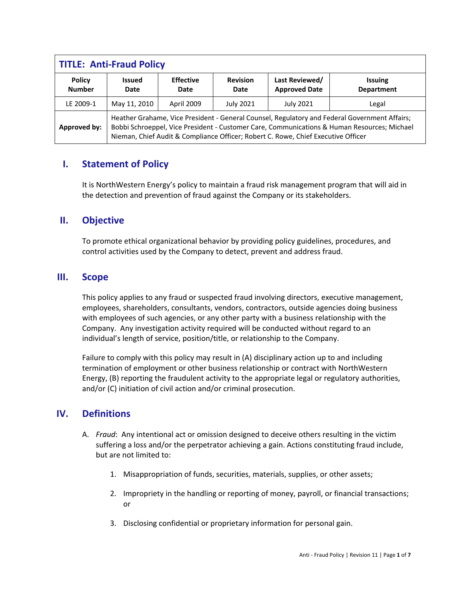| <b>TITLE: Anti-Fraud Policy</b> |                                                                                                                                                                                                                                                                                   |                          |                         |                                        |                                     |  |  |
|---------------------------------|-----------------------------------------------------------------------------------------------------------------------------------------------------------------------------------------------------------------------------------------------------------------------------------|--------------------------|-------------------------|----------------------------------------|-------------------------------------|--|--|
| <b>Policy</b><br><b>Number</b>  | <b>Issued</b><br>Date                                                                                                                                                                                                                                                             | <b>Effective</b><br>Date | <b>Revision</b><br>Date | Last Reviewed/<br><b>Approved Date</b> | <b>Issuing</b><br><b>Department</b> |  |  |
| LE 2009-1                       | May 11, 2010                                                                                                                                                                                                                                                                      | April 2009               | <b>July 2021</b>        | <b>July 2021</b>                       | Legal                               |  |  |
| Approved by:                    | Heather Grahame, Vice President - General Counsel, Regulatory and Federal Government Affairs;<br>Bobbi Schroeppel, Vice President - Customer Care, Communications & Human Resources; Michael<br>Nieman, Chief Audit & Compliance Officer; Robert C. Rowe, Chief Executive Officer |                          |                         |                                        |                                     |  |  |

# **I. Statement of Policy**

It is NorthWestern Energy's policy to maintain a fraud risk management program that will aid in the detection and prevention of fraud against the Company or its stakeholders.

# **II. Objective**

To promote ethical organizational behavior by providing policy guidelines, procedures, and control activities used by the Company to detect, prevent and address fraud.

## **III. Scope**

This policy applies to any fraud or suspected fraud involving directors, executive management, employees, shareholders, consultants, vendors, contractors, outside agencies doing business with employees of such agencies, or any other party with a business relationship with the Company. Any investigation activity required will be conducted without regard to an individual's length of service, position/title, or relationship to the Company.

Failure to comply with this policy may result in (A) disciplinary action up to and including termination of employment or other business relationship or contract with NorthWestern Energy, (B) reporting the fraudulent activity to the appropriate legal or regulatory authorities, and/or (C) initiation of civil action and/or criminal prosecution.

# **IV. Definitions**

- A. *Fraud*: Any intentional act or omission designed to deceive others resulting in the victim suffering a loss and/or the perpetrator achieving a gain. Actions constituting fraud include, but are not limited to:
	- 1. Misappropriation of funds, securities, materials, supplies, or other assets;
	- 2. Impropriety in the handling or reporting of money, payroll, or financial transactions; or
	- 3. Disclosing confidential or proprietary information for personal gain.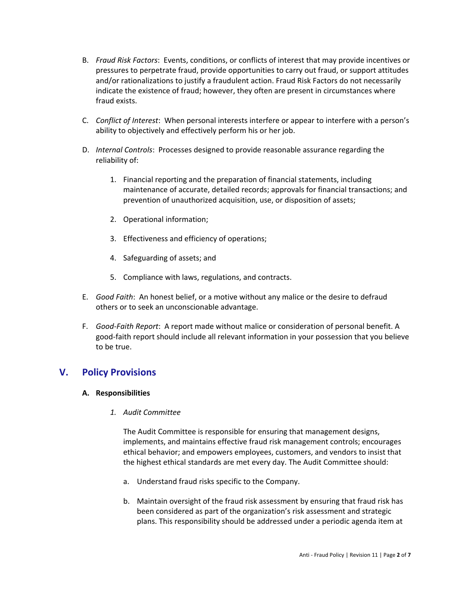- B. *Fraud Risk Factors*: Events, conditions, or conflicts of interest that may provide incentives or pressures to perpetrate fraud, provide opportunities to carry out fraud, or support attitudes and/or rationalizations to justify a fraudulent action. Fraud Risk Factors do not necessarily indicate the existence of fraud; however, they often are present in circumstances where fraud exists.
- C. *Conflict of Interest*: When personal interests interfere or appear to interfere with a person's ability to objectively and effectively perform his or her job.
- D. *Internal Controls*: Processes designed to provide reasonable assurance regarding the reliability of:
	- 1. Financial reporting and the preparation of financial statements, including maintenance of accurate, detailed records; approvals for financial transactions; and prevention of unauthorized acquisition, use, or disposition of assets;
	- 2. Operational information;
	- 3. Effectiveness and efficiency of operations;
	- 4. Safeguarding of assets; and
	- 5. Compliance with laws, regulations, and contracts.
- E. *Good Faith*: An honest belief, or a motive without any malice or the desire to defraud others or to seek an unconscionable advantage.
- F. *Good-Faith Report*: A report made without malice or consideration of personal benefit. A good-faith report should include all relevant information in your possession that you believe to be true.

# **V. Policy Provisions**

## **A. Responsibilities**

*1. Audit Committee*

The Audit Committee is responsible for ensuring that management designs, implements, and maintains effective fraud risk management controls; encourages ethical behavior; and empowers employees, customers, and vendors to insist that the highest ethical standards are met every day. The Audit Committee should:

- a. Understand fraud risks specific to the Company.
- b. Maintain oversight of the fraud risk assessment by ensuring that fraud risk has been considered as part of the organization's risk assessment and strategic plans. This responsibility should be addressed under a periodic agenda item at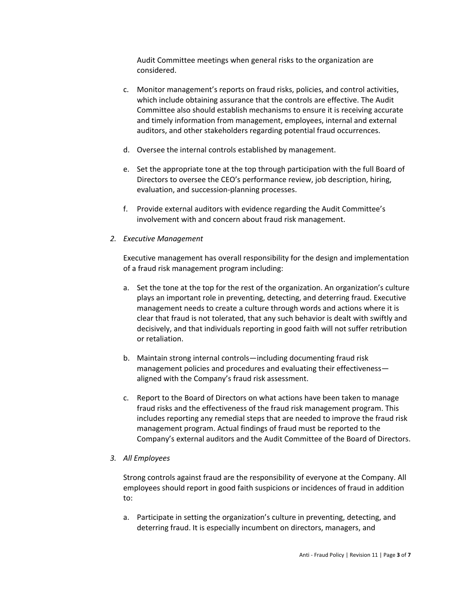Audit Committee meetings when general risks to the organization are considered.

- c. Monitor management's reports on fraud risks, policies, and control activities, which include obtaining assurance that the controls are effective. The Audit Committee also should establish mechanisms to ensure it is receiving accurate and timely information from management, employees, internal and external auditors, and other stakeholders regarding potential fraud occurrences.
- d. Oversee the internal controls established by management.
- e. Set the appropriate tone at the top through participation with the full Board of Directors to oversee the CEO's performance review, job description, hiring, evaluation, and succession-planning processes.
- f. Provide external auditors with evidence regarding the Audit Committee's involvement with and concern about fraud risk management.
- *2. Executive Management*

Executive management has overall responsibility for the design and implementation of a fraud risk management program including:

- a. Set the tone at the top for the rest of the organization. An organization's culture plays an important role in preventing, detecting, and deterring fraud. Executive management needs to create a culture through words and actions where it is clear that fraud is not tolerated, that any such behavior is dealt with swiftly and decisively, and that individuals reporting in good faith will not suffer retribution or retaliation.
- b. Maintain strong internal controls—including documenting fraud risk management policies and procedures and evaluating their effectiveness aligned with the Company's fraud risk assessment.
- c. Report to the Board of Directors on what actions have been taken to manage fraud risks and the effectiveness of the fraud risk management program. This includes reporting any remedial steps that are needed to improve the fraud risk management program. Actual findings of fraud must be reported to the Company's external auditors and the Audit Committee of the Board of Directors.

#### *3. All Employees*

Strong controls against fraud are the responsibility of everyone at the Company. All employees should report in good faith suspicions or incidences of fraud in addition to:

a. Participate in setting the organization's culture in preventing, detecting, and deterring fraud. It is especially incumbent on directors, managers, and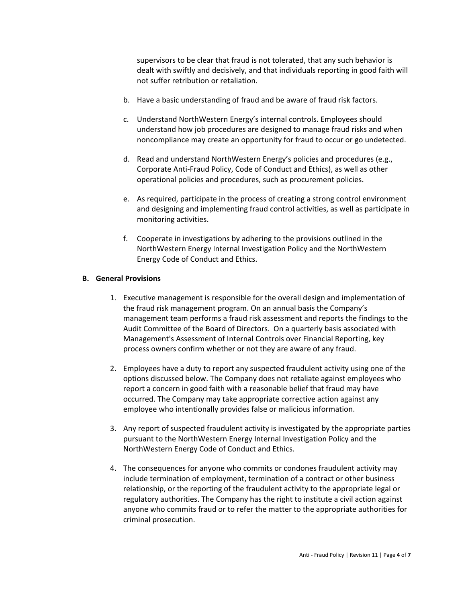supervisors to be clear that fraud is not tolerated, that any such behavior is dealt with swiftly and decisively, and that individuals reporting in good faith will not suffer retribution or retaliation.

- b. Have a basic understanding of fraud and be aware of fraud risk factors.
- c. Understand NorthWestern Energy's internal controls. Employees should understand how job procedures are designed to manage fraud risks and when noncompliance may create an opportunity for fraud to occur or go undetected.
- d. Read and understand NorthWestern Energy's policies and procedures (e.g., Corporate Anti-Fraud Policy, Code of Conduct and Ethics), as well as other operational policies and procedures, such as procurement policies.
- e. As required, participate in the process of creating a strong control environment and designing and implementing fraud control activities, as well as participate in monitoring activities.
- f. Cooperate in investigations by adhering to the provisions outlined in the NorthWestern Energy Internal Investigation Policy and the NorthWestern Energy Code of Conduct and Ethics.

## **B. General Provisions**

- 1. Executive management is responsible for the overall design and implementation of the fraud risk management program. On an annual basis the Company's management team performs a fraud risk assessment and reports the findings to the Audit Committee of the Board of Directors. On a quarterly basis associated with Management's Assessment of Internal Controls over Financial Reporting, key process owners confirm whether or not they are aware of any fraud.
- 2. Employees have a duty to report any suspected fraudulent activity using one of the options discussed below. The Company does not retaliate against employees who report a concern in good faith with a reasonable belief that fraud may have occurred. The Company may take appropriate corrective action against any employee who intentionally provides false or malicious information.
- 3. Any report of suspected fraudulent activity is investigated by the appropriate parties pursuant to the NorthWestern Energy Internal Investigation Policy and the NorthWestern Energy Code of Conduct and Ethics.
- 4. The consequences for anyone who commits or condones fraudulent activity may include termination of employment, termination of a contract or other business relationship, or the reporting of the fraudulent activity to the appropriate legal or regulatory authorities. The Company has the right to institute a civil action against anyone who commits fraud or to refer the matter to the appropriate authorities for criminal prosecution.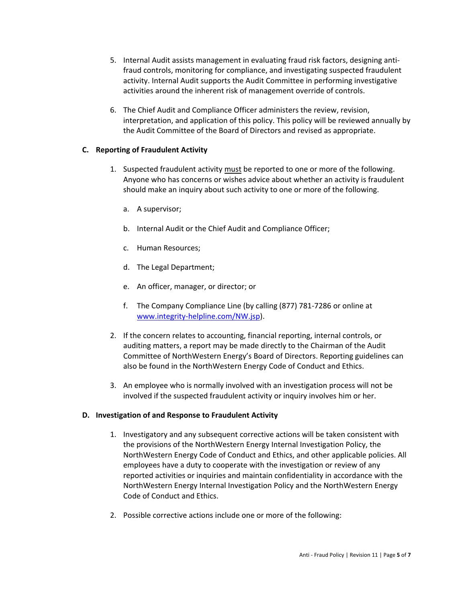- 5. Internal Audit assists management in evaluating fraud risk factors, designing antifraud controls, monitoring for compliance, and investigating suspected fraudulent activity. Internal Audit supports the Audit Committee in performing investigative activities around the inherent risk of management override of controls.
- 6. The Chief Audit and Compliance Officer administers the review, revision, interpretation, and application of this policy. This policy will be reviewed annually by the Audit Committee of the Board of Directors and revised as appropriate.

## **C. Reporting of Fraudulent Activity**

- 1. Suspected fraudulent activity must be reported to one or more of the following. Anyone who has concerns or wishes advice about whether an activity is fraudulent should make an inquiry about such activity to one or more of the following.
	- a. A supervisor;
	- b. Internal Audit or the Chief Audit and Compliance Officer;
	- c. Human Resources;
	- d. The Legal Department;
	- e. An officer, manager, or director; or
	- f. The Company Compliance Line (by calling (877) 781-7286 or online at [www.integrity-helpline.com/NW.jsp\)](http://www.integrity-helpline.com/NW.jsp).
- 2. If the concern relates to accounting, financial reporting, internal controls, or auditing matters, a report may be made directly to the Chairman of the Audit Committee of NorthWestern Energy's Board of Directors. Reporting guidelines can also be found in the NorthWestern Energy Code of Conduct and Ethics.
- 3. An employee who is normally involved with an investigation process will not be involved if the suspected fraudulent activity or inquiry involves him or her.

## **D. Investigation of and Response to Fraudulent Activity**

- 1. Investigatory and any subsequent corrective actions will be taken consistent with the provisions of the NorthWestern Energy Internal Investigation Policy, the NorthWestern Energy Code of Conduct and Ethics, and other applicable policies. All employees have a duty to cooperate with the investigation or review of any reported activities or inquiries and maintain confidentiality in accordance with the NorthWestern Energy Internal Investigation Policy and the NorthWestern Energy Code of Conduct and Ethics.
- 2. Possible corrective actions include one or more of the following: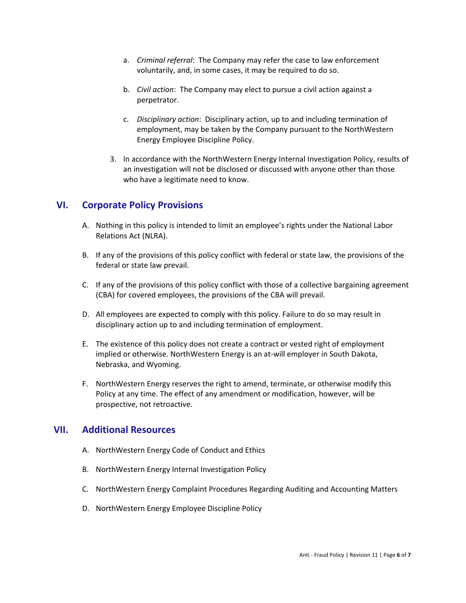- a. *Criminal referral*: The Company may refer the case to law enforcement voluntarily, and, in some cases, it may be required to do so.
- b. *Civil action*: The Company may elect to pursue a civil action against a perpetrator.
- c. *Disciplinary action*: Disciplinary action, up to and including termination of employment, may be taken by the Company pursuant to the NorthWestern Energy Employee Discipline Policy.
- 3. In accordance with the NorthWestern Energy Internal Investigation Policy, results of an investigation will not be disclosed or discussed with anyone other than those who have a legitimate need to know.

# **VI. Corporate Policy Provisions**

- A. Nothing in this policy is intended to limit an employee's rights under the National Labor Relations Act (NLRA).
- B. If any of the provisions of this policy conflict with federal or state law, the provisions of the federal or state law prevail.
- C. If any of the provisions of this policy conflict with those of a collective bargaining agreement (CBA) for covered employees, the provisions of the CBA will prevail.
- D. All employees are expected to comply with this policy. Failure to do so may result in disciplinary action up to and including termination of employment.
- E. The existence of this policy does not create a contract or vested right of employment implied or otherwise. NorthWestern Energy is an at-will employer in South Dakota, Nebraska, and Wyoming.
- F. NorthWestern Energy reserves the right to amend, terminate, or otherwise modify this Policy at any time. The effect of any amendment or modification, however, will be prospective, not retroactive.

# **VII. Additional Resources**

- A. NorthWestern Energy Code of Conduct and Ethics
- B. NorthWestern Energy Internal Investigation Policy
- C. NorthWestern Energy Complaint Procedures Regarding Auditing and Accounting Matters
- D. NorthWestern Energy Employee Discipline Policy